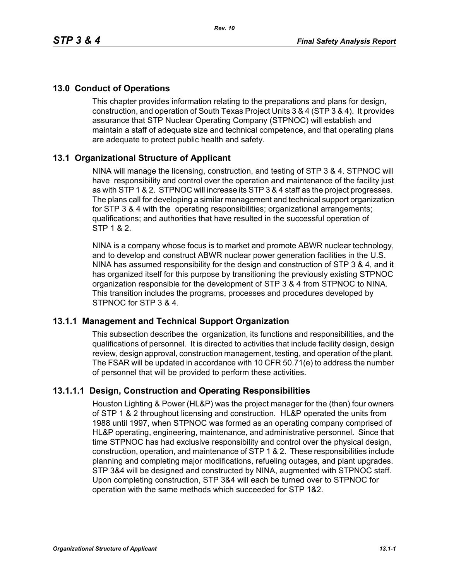# **13.0 Conduct of Operations**

This chapter provides information relating to the preparations and plans for design, construction, and operation of South Texas Project Units 3 & 4 (STP 3 & 4). It provides assurance that STP Nuclear Operating Company (STPNOC) will establish and maintain a staff of adequate size and technical competence, and that operating plans are adequate to protect public health and safety.

# **13.1 Organizational Structure of Applicant**

NINA will manage the licensing, construction, and testing of STP 3 & 4. STPNOC will have responsibility and control over the operation and maintenance of the facility just as with STP 1 & 2. STPNOC will increase its STP 3 & 4 staff as the project progresses. The plans call for developing a similar management and technical support organization for STP 3 & 4 with the operating responsibilities; organizational arrangements; qualifications; and authorities that have resulted in the successful operation of STP 1 & 2.

NINA is a company whose focus is to market and promote ABWR nuclear technology, and to develop and construct ABWR nuclear power generation facilities in the U.S. NINA has assumed responsibility for the design and construction of STP 3 & 4, and it has organized itself for this purpose by transitioning the previously existing STPNOC organization responsible for the development of STP 3 & 4 from STPNOC to NINA. This transition includes the programs, processes and procedures developed by STPNOC for STP 3 & 4.

# **13.1.1 Management and Technical Support Organization**

This subsection describes the organization, its functions and responsibilities, and the qualifications of personnel. It is directed to activities that include facility design, design review, design approval, construction management, testing, and operation of the plant. The FSAR will be updated in accordance with 10 CFR 50.71(e) to address the number of personnel that will be provided to perform these activities.

# **13.1.1.1 Design, Construction and Operating Responsibilities**

Houston Lighting & Power (HL&P) was the project manager for the (then) four owners of STP 1 & 2 throughout licensing and construction. HL&P operated the units from 1988 until 1997, when STPNOC was formed as an operating company comprised of HL&P operating, engineering, maintenance, and administrative personnel. Since that time STPNOC has had exclusive responsibility and control over the physical design, construction, operation, and maintenance of STP 1 & 2. These responsibilities include planning and completing major modifications, refueling outages, and plant upgrades. STP 3&4 will be designed and constructed by NINA, augmented with STPNOC staff. Upon completing construction, STP 3&4 will each be turned over to STPNOC for operation with the same methods which succeeded for STP 1&2.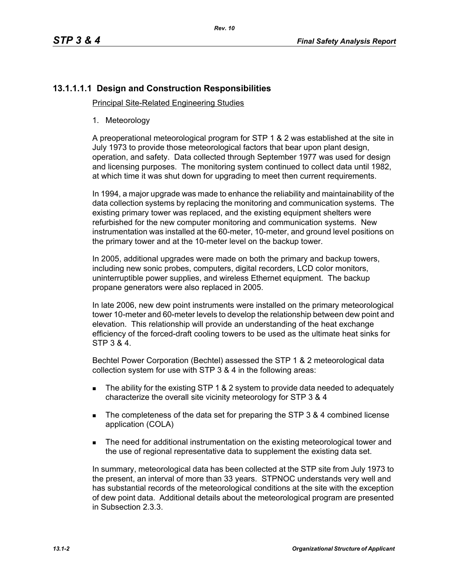# **13.1.1.1.1 Design and Construction Responsibilities**

Principal Site-Related Engineering Studies

1. Meteorology

A preoperational meteorological program for STP 1 & 2 was established at the site in July 1973 to provide those meteorological factors that bear upon plant design, operation, and safety. Data collected through September 1977 was used for design and licensing purposes. The monitoring system continued to collect data until 1982, at which time it was shut down for upgrading to meet then current requirements.

In 1994, a major upgrade was made to enhance the reliability and maintainability of the data collection systems by replacing the monitoring and communication systems. The existing primary tower was replaced, and the existing equipment shelters were refurbished for the new computer monitoring and communication systems. New instrumentation was installed at the 60-meter, 10-meter, and ground level positions on the primary tower and at the 10-meter level on the backup tower.

In 2005, additional upgrades were made on both the primary and backup towers, including new sonic probes, computers, digital recorders, LCD color monitors, uninterruptible power supplies, and wireless Ethernet equipment. The backup propane generators were also replaced in 2005.

In late 2006, new dew point instruments were installed on the primary meteorological tower 10-meter and 60-meter levels to develop the relationship between dew point and elevation. This relationship will provide an understanding of the heat exchange efficiency of the forced-draft cooling towers to be used as the ultimate heat sinks for STP 3 & 4.

Bechtel Power Corporation (Bechtel) assessed the STP 1 & 2 meteorological data collection system for use with STP 3 & 4 in the following areas:

- The ability for the existing STP 1 & 2 system to provide data needed to adequately characterize the overall site vicinity meteorology for STP 3 & 4
- The completeness of the data set for preparing the STP 3 & 4 combined license application (COLA)
- **The need for additional instrumentation on the existing meteorological tower and** the use of regional representative data to supplement the existing data set.

In summary, meteorological data has been collected at the STP site from July 1973 to the present, an interval of more than 33 years. STPNOC understands very well and has substantial records of the meteorological conditions at the site with the exception of dew point data. Additional details about the meteorological program are presented in Subsection 2.3.3.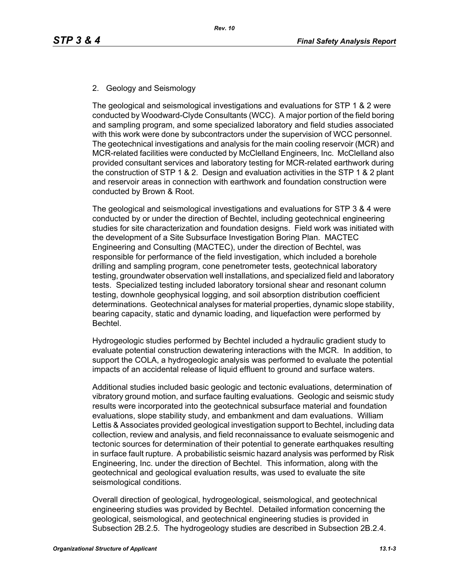# 2. Geology and Seismology

The geological and seismological investigations and evaluations for STP 1 & 2 were conducted by Woodward-Clyde Consultants (WCC). A major portion of the field boring and sampling program, and some specialized laboratory and field studies associated with this work were done by subcontractors under the supervision of WCC personnel. The geotechnical investigations and analysis for the main cooling reservoir (MCR) and MCR-related facilities were conducted by McClelland Engineers, Inc. McClelland also provided consultant services and laboratory testing for MCR-related earthwork during the construction of STP 1 & 2. Design and evaluation activities in the STP 1 & 2 plant and reservoir areas in connection with earthwork and foundation construction were conducted by Brown & Root.

The geological and seismological investigations and evaluations for STP 3 & 4 were conducted by or under the direction of Bechtel, including geotechnical engineering studies for site characterization and foundation designs. Field work was initiated with the development of a Site Subsurface Investigation Boring Plan. MACTEC Engineering and Consulting (MACTEC), under the direction of Bechtel, was responsible for performance of the field investigation, which included a borehole drilling and sampling program, cone penetrometer tests, geotechnical laboratory testing, groundwater observation well installations, and specialized field and laboratory tests. Specialized testing included laboratory torsional shear and resonant column testing, downhole geophysical logging, and soil absorption distribution coefficient determinations. Geotechnical analyses for material properties, dynamic slope stability, bearing capacity, static and dynamic loading, and liquefaction were performed by Bechtel.

Hydrogeologic studies performed by Bechtel included a hydraulic gradient study to evaluate potential construction dewatering interactions with the MCR. In addition, to support the COLA, a hydrogeologic analysis was performed to evaluate the potential impacts of an accidental release of liquid effluent to ground and surface waters.

Additional studies included basic geologic and tectonic evaluations, determination of vibratory ground motion, and surface faulting evaluations. Geologic and seismic study results were incorporated into the geotechnical subsurface material and foundation evaluations, slope stability study, and embankment and dam evaluations. William Lettis & Associates provided geological investigation support to Bechtel, including data collection, review and analysis, and field reconnaissance to evaluate seismogenic and tectonic sources for determination of their potential to generate earthquakes resulting in surface fault rupture. A probabilistic seismic hazard analysis was performed by Risk Engineering, Inc. under the direction of Bechtel. This information, along with the geotechnical and geological evaluation results, was used to evaluate the site seismological conditions.

Overall direction of geological, hydrogeological, seismological, and geotechnical engineering studies was provided by Bechtel. Detailed information concerning the geological, seismological, and geotechnical engineering studies is provided in Subsection 2B.2.5. The hydrogeology studies are described in Subsection 2B.2.4.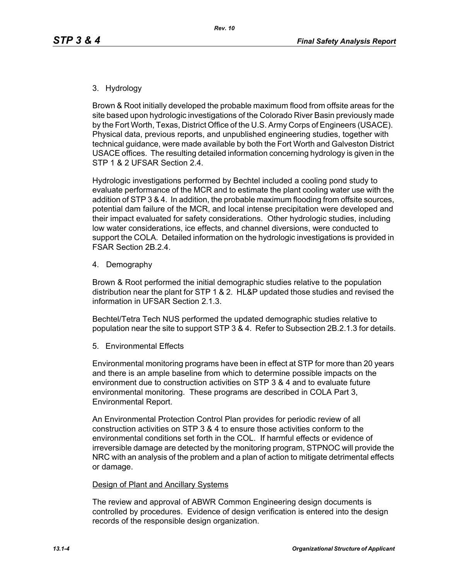### 3. Hydrology

Brown & Root initially developed the probable maximum flood from offsite areas for the site based upon hydrologic investigations of the Colorado River Basin previously made by the Fort Worth, Texas, District Office of the U.S. Army Corps of Engineers (USACE). Physical data, previous reports, and unpublished engineering studies, together with technical guidance, were made available by both the Fort Worth and Galveston District USACE offices. The resulting detailed information concerning hydrology is given in the STP 1 & 2 UFSAR Section 2.4.

Hydrologic investigations performed by Bechtel included a cooling pond study to evaluate performance of the MCR and to estimate the plant cooling water use with the addition of STP 3 & 4. In addition, the probable maximum flooding from offsite sources, potential dam failure of the MCR, and local intense precipitation were developed and their impact evaluated for safety considerations. Other hydrologic studies, including low water considerations, ice effects, and channel diversions, were conducted to support the COLA. Detailed information on the hydrologic investigations is provided in FSAR Section 2B.2.4.

4. Demography

Brown & Root performed the initial demographic studies relative to the population distribution near the plant for STP 1 & 2. HL&P updated those studies and revised the information in UFSAR Section 2.1.3.

Bechtel/Tetra Tech NUS performed the updated demographic studies relative to population near the site to support STP 3 & 4. Refer to Subsection 2B.2.1.3 for details.

5. Environmental Effects

Environmental monitoring programs have been in effect at STP for more than 20 years and there is an ample baseline from which to determine possible impacts on the environment due to construction activities on STP 3 & 4 and to evaluate future environmental monitoring. These programs are described in COLA Part 3, Environmental Report.

An Environmental Protection Control Plan provides for periodic review of all construction activities on STP 3 & 4 to ensure those activities conform to the environmental conditions set forth in the COL. If harmful effects or evidence of irreversible damage are detected by the monitoring program, STPNOC will provide the NRC with an analysis of the problem and a plan of action to mitigate detrimental effects or damage.

#### Design of Plant and Ancillary Systems

The review and approval of ABWR Common Engineering design documents is controlled by procedures. Evidence of design verification is entered into the design records of the responsible design organization.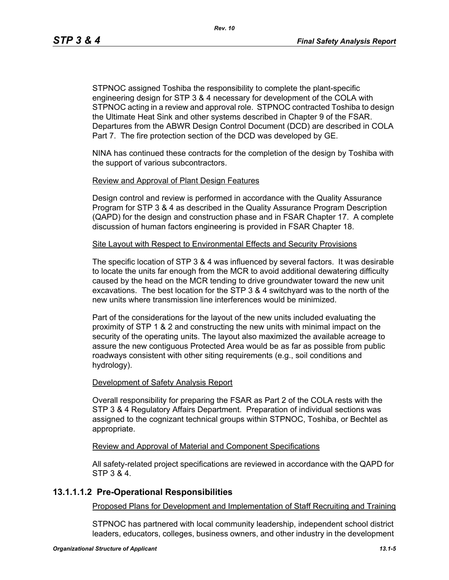STPNOC assigned Toshiba the responsibility to complete the plant-specific engineering design for STP 3 & 4 necessary for development of the COLA with STPNOC acting in a review and approval role. STPNOC contracted Toshiba to design the Ultimate Heat Sink and other systems described in Chapter 9 of the FSAR. Departures from the ABWR Design Control Document (DCD) are described in COLA Part 7. The fire protection section of the DCD was developed by GE.

NINA has continued these contracts for the completion of the design by Toshiba with the support of various subcontractors.

### Review and Approval of Plant Design Features

Design control and review is performed in accordance with the Quality Assurance Program for STP 3 & 4 as described in the Quality Assurance Program Description (QAPD) for the design and construction phase and in FSAR Chapter 17. A complete discussion of human factors engineering is provided in FSAR Chapter 18.

### Site Layout with Respect to Environmental Effects and Security Provisions

The specific location of STP 3 & 4 was influenced by several factors. It was desirable to locate the units far enough from the MCR to avoid additional dewatering difficulty caused by the head on the MCR tending to drive groundwater toward the new unit excavations. The best location for the STP 3 & 4 switchyard was to the north of the new units where transmission line interferences would be minimized.

Part of the considerations for the layout of the new units included evaluating the proximity of STP 1 & 2 and constructing the new units with minimal impact on the security of the operating units. The layout also maximized the available acreage to assure the new contiguous Protected Area would be as far as possible from public roadways consistent with other siting requirements (e.g., soil conditions and hydrology).

#### Development of Safety Analysis Report

Overall responsibility for preparing the FSAR as Part 2 of the COLA rests with the STP 3 & 4 Regulatory Affairs Department. Preparation of individual sections was assigned to the cognizant technical groups within STPNOC, Toshiba, or Bechtel as appropriate.

#### Review and Approval of Material and Component Specifications

All safety-related project specifications are reviewed in accordance with the QAPD for STP 3 & 4.

# **13.1.1.1.2 Pre-Operational Responsibilities**

Proposed Plans for Development and Implementation of Staff Recruiting and Training

STPNOC has partnered with local community leadership, independent school district leaders, educators, colleges, business owners, and other industry in the development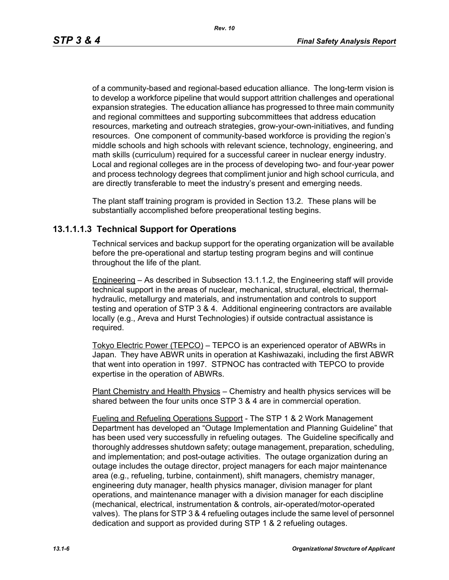of a community-based and regional-based education alliance. The long-term vision is to develop a workforce pipeline that would support attrition challenges and operational expansion strategies. The education alliance has progressed to three main community and regional committees and supporting subcommittees that address education resources, marketing and outreach strategies, grow-your-own-initiatives, and funding resources. One component of community-based workforce is providing the region's middle schools and high schools with relevant science, technology, engineering, and math skills (curriculum) required for a successful career in nuclear energy industry. Local and regional colleges are in the process of developing two- and four-year power and process technology degrees that compliment junior and high school curricula, and are directly transferable to meet the industry's present and emerging needs.

The plant staff training program is provided in Section 13.2. These plans will be substantially accomplished before preoperational testing begins.

# **13.1.1.1.3 Technical Support for Operations**

Technical services and backup support for the operating organization will be available before the pre-operational and startup testing program begins and will continue throughout the life of the plant.

Engineering – As described in Subsection 13.1.1.2, the Engineering staff will provide technical support in the areas of nuclear, mechanical, structural, electrical, thermalhydraulic, metallurgy and materials, and instrumentation and controls to support testing and operation of STP 3 & 4. Additional engineering contractors are available locally (e.g., Areva and Hurst Technologies) if outside contractual assistance is required.

Tokyo Electric Power (TEPCO) – TEPCO is an experienced operator of ABWRs in Japan. They have ABWR units in operation at Kashiwazaki, including the first ABWR that went into operation in 1997. STPNOC has contracted with TEPCO to provide expertise in the operation of ABWRs.

Plant Chemistry and Health Physics – Chemistry and health physics services will be shared between the four units once STP 3 & 4 are in commercial operation.

Fueling and Refueling Operations Support - The STP 1 & 2 Work Management Department has developed an "Outage Implementation and Planning Guideline" that has been used very successfully in refueling outages. The Guideline specifically and thoroughly addresses shutdown safety; outage management, preparation, scheduling, and implementation; and post-outage activities. The outage organization during an outage includes the outage director, project managers for each major maintenance area (e.g., refueling, turbine, containment), shift managers, chemistry manager, engineering duty manager, health physics manager, division manager for plant operations, and maintenance manager with a division manager for each discipline (mechanical, electrical, instrumentation & controls, air-operated/motor-operated valves). The plans for STP 3 & 4 refueling outages include the same level of personnel dedication and support as provided during STP 1 & 2 refueling outages.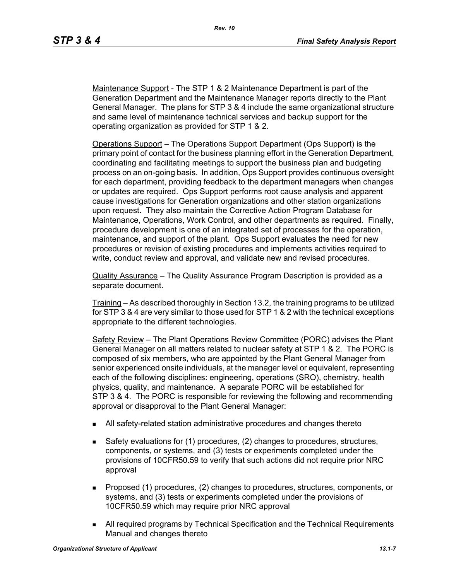Maintenance Support - The STP 1 & 2 Maintenance Department is part of the Generation Department and the Maintenance Manager reports directly to the Plant General Manager. The plans for STP 3 & 4 include the same organizational structure and same level of maintenance technical services and backup support for the operating organization as provided for STP 1 & 2.

Operations Support – The Operations Support Department (Ops Support) is the primary point of contact for the business planning effort in the Generation Department, coordinating and facilitating meetings to support the business plan and budgeting process on an on-going basis. In addition, Ops Support provides continuous oversight for each department, providing feedback to the department managers when changes or updates are required. Ops Support performs root cause analysis and apparent cause investigations for Generation organizations and other station organizations upon request. They also maintain the Corrective Action Program Database for Maintenance, Operations, Work Control, and other departments as required. Finally, procedure development is one of an integrated set of processes for the operation, maintenance, and support of the plant. Ops Support evaluates the need for new procedures or revision of existing procedures and implements activities required to write, conduct review and approval, and validate new and revised procedures.

Quality Assurance – The Quality Assurance Program Description is provided as a separate document.

Training – As described thoroughly in Section 13.2, the training programs to be utilized for STP 3 & 4 are very similar to those used for STP 1 & 2 with the technical exceptions appropriate to the different technologies.

Safety Review – The Plant Operations Review Committee (PORC) advises the Plant General Manager on all matters related to nuclear safety at STP 1 & 2. The PORC is composed of six members, who are appointed by the Plant General Manager from senior experienced onsite individuals, at the manager level or equivalent, representing each of the following disciplines: engineering, operations (SRO), chemistry, health physics, quality, and maintenance. A separate PORC will be established for STP 3 & 4. The PORC is responsible for reviewing the following and recommending approval or disapproval to the Plant General Manager:

- All safety-related station administrative procedures and changes thereto
- Safety evaluations for (1) procedures, (2) changes to procedures, structures, components, or systems, and (3) tests or experiments completed under the provisions of 10CFR50.59 to verify that such actions did not require prior NRC approval
- **Proposed (1) procedures, (2) changes to procedures, structures, components, or** systems, and (3) tests or experiments completed under the provisions of 10CFR50.59 which may require prior NRC approval
- All required programs by Technical Specification and the Technical Requirements Manual and changes thereto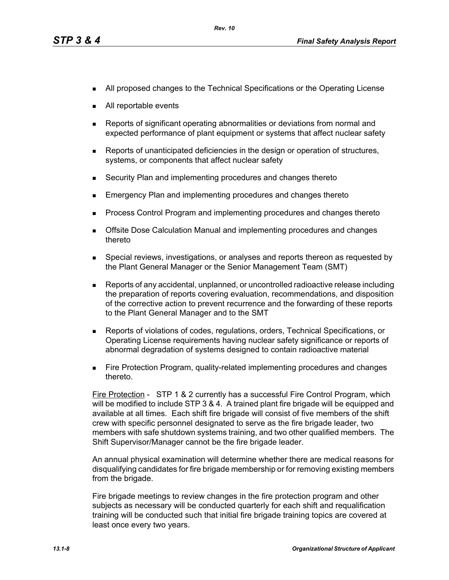- **All proposed changes to the Technical Specifications or the Operating License**
- All reportable events
- Reports of significant operating abnormalities or deviations from normal and expected performance of plant equipment or systems that affect nuclear safety
- **Reports of unanticipated deficiencies in the design or operation of structures,** systems, or components that affect nuclear safety
- Security Plan and implementing procedures and changes thereto
- Emergency Plan and implementing procedures and changes thereto
- **Process Control Program and implementing procedures and changes thereto**
- **Dealth Exercise Septemannes** Calculation Manual and implementing procedures and changes thereto
- **Special reviews, investigations, or analyses and reports thereon as requested by** the Plant General Manager or the Senior Management Team (SMT)
- Reports of any accidental, unplanned, or uncontrolled radioactive release including the preparation of reports covering evaluation, recommendations, and disposition of the corrective action to prevent recurrence and the forwarding of these reports to the Plant General Manager and to the SMT
- Reports of violations of codes, regulations, orders, Technical Specifications, or Operating License requirements having nuclear safety significance or reports of abnormal degradation of systems designed to contain radioactive material
- **Fire Protection Program, quality-related implementing procedures and changes** thereto.

Fire Protection - STP 1 & 2 currently has a successful Fire Control Program, which will be modified to include STP 3 & 4. A trained plant fire brigade will be equipped and available at all times. Each shift fire brigade will consist of five members of the shift crew with specific personnel designated to serve as the fire brigade leader, two members with safe shutdown systems training, and two other qualified members. The Shift Supervisor/Manager cannot be the fire brigade leader.

An annual physical examination will determine whether there are medical reasons for disqualifying candidates for fire brigade membership or for removing existing members from the brigade.

Fire brigade meetings to review changes in the fire protection program and other subjects as necessary will be conducted quarterly for each shift and requalification training will be conducted such that initial fire brigade training topics are covered at least once every two years.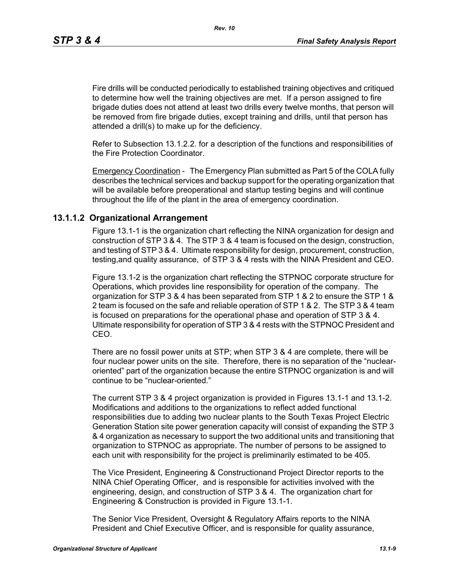*Rev. 10*

Fire drills will be conducted periodically to established training objectives and critiqued to determine how well the training objectives are met. If a person assigned to fire brigade duties does not attend at least two drills every twelve months, that person will be removed from fire brigade duties, except training and drills, until that person has attended a drill(s) to make up for the deficiency.

Refer to Subsection 13.1.2.2. for a description of the functions and responsibilities of the Fire Protection Coordinator.

Emergency Coordination - The Emergency Plan submitted as Part 5 of the COLA fully describes the technical services and backup support for the operating organization that will be available before preoperational and startup testing begins and will continue throughout the life of the plant in the area of emergency coordination.

# **13.1.1.2 Organizational Arrangement**

Figure 13.1-1 is the organization chart reflecting the NINA organization for design and construction of STP 3 & 4. The STP 3 & 4 team is focused on the design, construction, and testing of STP 3 & 4. Ultimate responsibility for design, procurement, construction, testing,and quality assurance, of STP 3 & 4 rests with the NINA President and CEO.

Figure 13.1-2 is the organization chart reflecting the STPNOC corporate structure for Operations, which provides line responsibility for operation of the company. The organization for STP 3 & 4 has been separated from STP 1 & 2 to ensure the STP 1 & 2 team is focused on the safe and reliable operation of STP 1 & 2. The STP 3 & 4 team is focused on preparations for the operational phase and operation of STP 3 & 4. Ultimate responsibility for operation of STP 3 & 4 rests with the STPNOC President and CEO.

There are no fossil power units at STP; when STP 3 & 4 are complete, there will be four nuclear power units on the site. Therefore, there is no separation of the "nuclearoriented" part of the organization because the entire STPNOC organization is and will continue to be "nuclear-oriented."

The current STP 3 & 4 project organization is provided in Figures 13.1-1 and 13.1-2. Modifications and additions to the organizations to reflect added functional responsibilities due to adding two nuclear plants to the South Texas Project Electric Generation Station site power generation capacity will consist of expanding the STP 3 & 4 organization as necessary to support the two additional units and transitioning that organization to STPNOC as appropriate. The number of persons to be assigned to each unit with responsibility for the project is preliminarily estimated to be 405.

The Vice President, Engineering & Constructionand Project Director reports to the NINA Chief Operating Officer, and is responsible for activities involved with the engineering, design, and construction of STP 3 & 4. The organization chart for Engineering & Construction is provided in Figure 13.1-1.

The Senior Vice President, Oversight & Regulatory Affairs reports to the NINA President and Chief Executive Officer, and is responsible for quality assurance,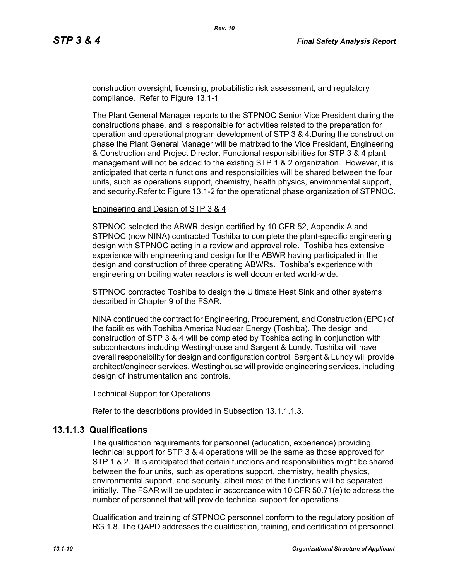construction oversight, licensing, probabilistic risk assessment, and regulatory compliance. Refer to Figure 13.1-1

The Plant General Manager reports to the STPNOC Senior Vice President during the constructions phase, and is responsible for activities related to the preparation for operation and operational program development of STP 3 & 4.During the construction phase the Plant General Manager will be matrixed to the Vice President, Engineering & Construction and Project Director. Functional responsibilities for STP 3 & 4 plant management will not be added to the existing STP 1 & 2 organization. However, it is anticipated that certain functions and responsibilities will be shared between the four units, such as operations support, chemistry, health physics, environmental support, and security.Refer to Figure 13.1-2 for the operational phase organization of STPNOC.

#### Engineering and Design of STP 3 & 4

STPNOC selected the ABWR design certified by 10 CFR 52, Appendix A and STPNOC (now NINA) contracted Toshiba to complete the plant-specific engineering design with STPNOC acting in a review and approval role. Toshiba has extensive experience with engineering and design for the ABWR having participated in the design and construction of three operating ABWRs. Toshiba's experience with engineering on boiling water reactors is well documented world-wide.

STPNOC contracted Toshiba to design the Ultimate Heat Sink and other systems described in Chapter 9 of the FSAR.

NINA continued the contract for Engineering, Procurement, and Construction (EPC) of the facilities with Toshiba America Nuclear Energy (Toshiba). The design and construction of STP 3 & 4 will be completed by Toshiba acting in conjunction with subcontractors including Westinghouse and Sargent & Lundy. Toshiba will have overall responsibility for design and configuration control. Sargent & Lundy will provide architect/engineer services. Westinghouse will provide engineering services, including design of instrumentation and controls.

#### Technical Support for Operations

Refer to the descriptions provided in Subsection 13.1.1.1.3.

# **13.1.1.3 Qualifications**

The qualification requirements for personnel (education, experience) providing technical support for STP 3 & 4 operations will be the same as those approved for STP 1 & 2. It is anticipated that certain functions and responsibilities might be shared between the four units, such as operations support, chemistry, health physics, environmental support, and security, albeit most of the functions will be separated initially. The FSAR will be updated in accordance with 10 CFR 50.71(e) to address the number of personnel that will provide technical support for operations.

Qualification and training of STPNOC personnel conform to the regulatory position of RG 1.8. The QAPD addresses the qualification, training, and certification of personnel.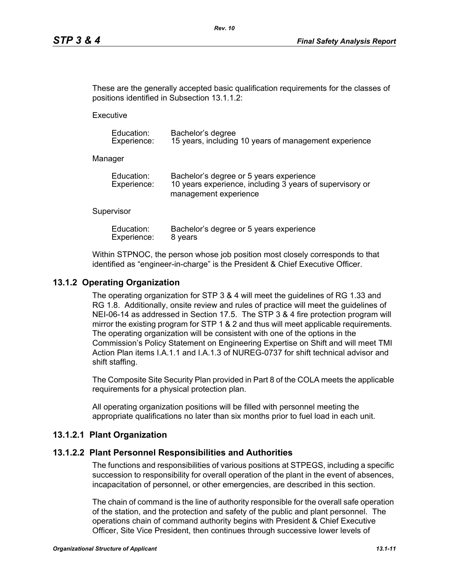These are the generally accepted basic qualification requirements for the classes of positions identified in Subsection 13.1.1.2:

**Executive** 

| Education:  | Bachelor's degree                                     |
|-------------|-------------------------------------------------------|
| Experience: | 15 years, including 10 years of management experience |

Manager

| Education:  | Bachelor's degree or 5 years experience                  |
|-------------|----------------------------------------------------------|
| Experience: | 10 years experience, including 3 years of supervisory or |
|             | management experience                                    |

#### **Supervisor**

| Education:  | Bachelor's degree or 5 years experience |
|-------------|-----------------------------------------|
| Experience: | 8 years                                 |

Within STPNOC, the person whose job position most closely corresponds to that identified as "engineer-in-charge" is the President & Chief Executive Officer.

# **13.1.2 Operating Organization**

The operating organization for STP 3 & 4 will meet the guidelines of RG 1.33 and RG 1.8. Additionally, onsite review and rules of practice will meet the guidelines of NEI-06-14 as addressed in Section 17.5. The STP 3 & 4 fire protection program will mirror the existing program for STP 1 & 2 and thus will meet applicable requirements. The operating organization will be consistent with one of the options in the Commission's Policy Statement on Engineering Expertise on Shift and will meet TMI Action Plan items I.A.1.1 and I.A.1.3 of NUREG-0737 for shift technical advisor and shift staffing.

The Composite Site Security Plan provided in Part 8 of the COLA meets the applicable requirements for a physical protection plan.

All operating organization positions will be filled with personnel meeting the appropriate qualifications no later than six months prior to fuel load in each unit.

#### **13.1.2.1 Plant Organization**

#### **13.1.2.2 Plant Personnel Responsibilities and Authorities**

The functions and responsibilities of various positions at STPEGS, including a specific succession to responsibility for overall operation of the plant in the event of absences, incapacitation of personnel, or other emergencies, are described in this section.

The chain of command is the line of authority responsible for the overall safe operation of the station, and the protection and safety of the public and plant personnel. The operations chain of command authority begins with President & Chief Executive Officer, Site Vice President, then continues through successive lower levels of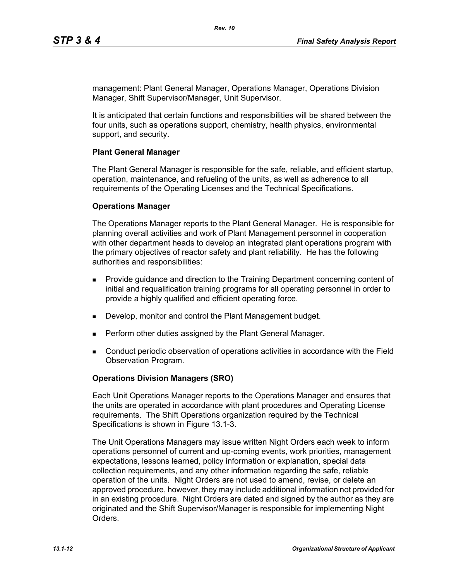management: Plant General Manager, Operations Manager, Operations Division Manager, Shift Supervisor/Manager, Unit Supervisor.

It is anticipated that certain functions and responsibilities will be shared between the four units, such as operations support, chemistry, health physics, environmental support, and security.

### **Plant General Manager**

The Plant General Manager is responsible for the safe, reliable, and efficient startup, operation, maintenance, and refueling of the units, as well as adherence to all requirements of the Operating Licenses and the Technical Specifications.

### **Operations Manager**

The Operations Manager reports to the Plant General Manager. He is responsible for planning overall activities and work of Plant Management personnel in cooperation with other department heads to develop an integrated plant operations program with the primary objectives of reactor safety and plant reliability. He has the following authorities and responsibilities:

- **Provide guidance and direction to the Training Department concerning content of** initial and requalification training programs for all operating personnel in order to provide a highly qualified and efficient operating force.
- Develop, monitor and control the Plant Management budget.
- **Perform other duties assigned by the Plant General Manager.**
- Conduct periodic observation of operations activities in accordance with the Field Observation Program.

# **Operations Division Managers (SRO)**

Each Unit Operations Manager reports to the Operations Manager and ensures that the units are operated in accordance with plant procedures and Operating License requirements. The Shift Operations organization required by the Technical Specifications is shown in Figure 13.1-3.

The Unit Operations Managers may issue written Night Orders each week to inform operations personnel of current and up-coming events, work priorities, management expectations, lessons learned, policy information or explanation, special data collection requirements, and any other information regarding the safe, reliable operation of the units. Night Orders are not used to amend, revise, or delete an approved procedure, however, they may include additional information not provided for in an existing procedure. Night Orders are dated and signed by the author as they are originated and the Shift Supervisor/Manager is responsible for implementing Night **Orders**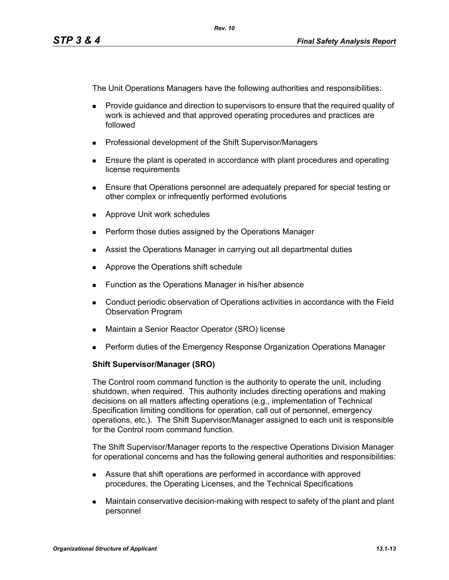The Unit Operations Managers have the following authorities and responsibilities:

- **Provide quidance and direction to supervisors to ensure that the required quality of** work is achieved and that approved operating procedures and practices are followed
- **Professional development of the Shift Supervisor/Managers**
- **Ensure the plant is operated in accordance with plant procedures and operating** license requirements
- Ensure that Operations personnel are adequately prepared for special testing or other complex or infrequently performed evolutions
- **Approve Unit work schedules**
- **Perform those duties assigned by the Operations Manager**
- **Assist the Operations Manager in carrying out all departmental duties**
- **Approve the Operations shift schedule**
- **Function as the Operations Manager in his/her absence**
- Conduct periodic observation of Operations activities in accordance with the Field Observation Program
- Maintain a Senior Reactor Operator (SRO) license
- **Perform duties of the Emergency Response Organization Operations Manager**

# **Shift Supervisor/Manager (SRO)**

The Control room command function is the authority to operate the unit, including shutdown, when required. This authority includes directing operations and making decisions on all matters affecting operations (e.g., implementation of Technical Specification limiting conditions for operation, call out of personnel, emergency operations, etc.). The Shift Supervisor/Manager assigned to each unit is responsible for the Control room command function.

The Shift Supervisor/Manager reports to the respective Operations Division Manager for operational concerns and has the following general authorities and responsibilities:

- Assure that shift operations are performed in accordance with approved procedures, the Operating Licenses, and the Technical Specifications
- Maintain conservative decision-making with respect to safety of the plant and plant personnel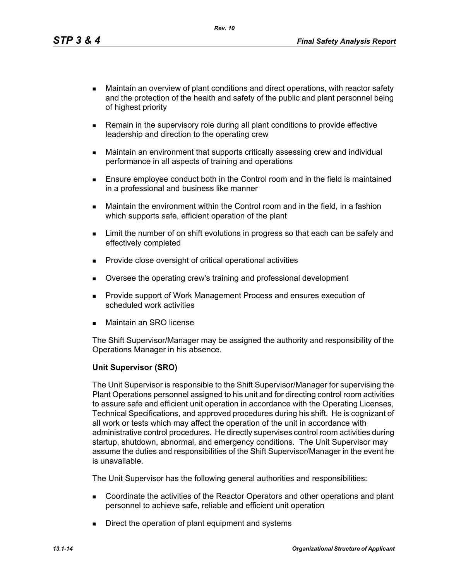*Rev. 10*

- Maintain an overview of plant conditions and direct operations, with reactor safety and the protection of the health and safety of the public and plant personnel being of highest priority
- **Remain in the supervisory role during all plant conditions to provide effective** leadership and direction to the operating crew
- Maintain an environment that supports critically assessing crew and individual performance in all aspects of training and operations
- **Ensure employee conduct both in the Control room and in the field is maintained** in a professional and business like manner
- Maintain the environment within the Control room and in the field, in a fashion which supports safe, efficient operation of the plant
- **EXECT** Limit the number of on shift evolutions in progress so that each can be safely and effectively completed
- **Provide close oversight of critical operational activities**
- Oversee the operating crew's training and professional development
- **Provide support of Work Management Process and ensures execution of** scheduled work activities
- Maintain an SRO license

The Shift Supervisor/Manager may be assigned the authority and responsibility of the Operations Manager in his absence.

# **Unit Supervisor (SRO)**

The Unit Supervisor is responsible to the Shift Supervisor/Manager for supervising the Plant Operations personnel assigned to his unit and for directing control room activities to assure safe and efficient unit operation in accordance with the Operating Licenses, Technical Specifications, and approved procedures during his shift. He is cognizant of all work or tests which may affect the operation of the unit in accordance with administrative control procedures. He directly supervises control room activities during startup, shutdown, abnormal, and emergency conditions. The Unit Supervisor may assume the duties and responsibilities of the Shift Supervisor/Manager in the event he is unavailable.

The Unit Supervisor has the following general authorities and responsibilities:

- Coordinate the activities of the Reactor Operators and other operations and plant personnel to achieve safe, reliable and efficient unit operation
- Direct the operation of plant equipment and systems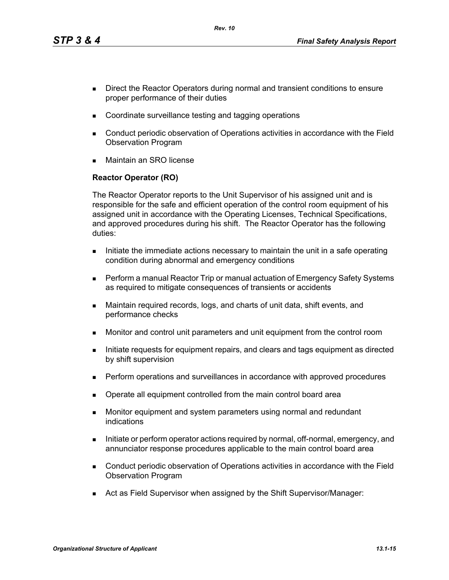*Rev. 10*

- Direct the Reactor Operators during normal and transient conditions to ensure proper performance of their duties
- Coordinate surveillance testing and tagging operations
- Conduct periodic observation of Operations activities in accordance with the Field Observation Program
- Maintain an SRO license

# **Reactor Operator (RO)**

The Reactor Operator reports to the Unit Supervisor of his assigned unit and is responsible for the safe and efficient operation of the control room equipment of his assigned unit in accordance with the Operating Licenses, Technical Specifications, and approved procedures during his shift. The Reactor Operator has the following duties:

- Initiate the immediate actions necessary to maintain the unit in a safe operating condition during abnormal and emergency conditions
- **Perform a manual Reactor Trip or manual actuation of Emergency Safety Systems** as required to mitigate consequences of transients or accidents
- Maintain required records, logs, and charts of unit data, shift events, and performance checks
- Monitor and control unit parameters and unit equipment from the control room
- Initiate requests for equipment repairs, and clears and tags equipment as directed by shift supervision
- **Perform operations and surveillances in accordance with approved procedures**
- Operate all equipment controlled from the main control board area
- **Monitor equipment and system parameters using normal and redundant** indications
- Initiate or perform operator actions required by normal, off-normal, emergency, and annunciator response procedures applicable to the main control board area
- Conduct periodic observation of Operations activities in accordance with the Field Observation Program
- Act as Field Supervisor when assigned by the Shift Supervisor/Manager: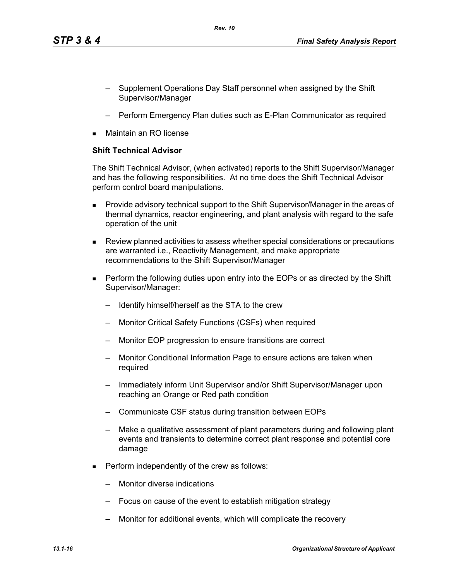- Supplement Operations Day Staff personnel when assigned by the Shift Supervisor/Manager
- Perform Emergency Plan duties such as E-Plan Communicator as required
- Maintain an RO license

# **Shift Technical Advisor**

The Shift Technical Advisor, (when activated) reports to the Shift Supervisor/Manager and has the following responsibilities. At no time does the Shift Technical Advisor perform control board manipulations.

- **Provide advisory technical support to the Shift Supervisor/Manager in the areas of** thermal dynamics, reactor engineering, and plant analysis with regard to the safe operation of the unit
- Review planned activities to assess whether special considerations or precautions are warranted i.e., Reactivity Management, and make appropriate recommendations to the Shift Supervisor/Manager
- **Perform the following duties upon entry into the EOPs or as directed by the Shift** Supervisor/Manager:
	- Identify himself/herself as the STA to the crew
	- Monitor Critical Safety Functions (CSFs) when required
	- Monitor EOP progression to ensure transitions are correct
	- Monitor Conditional Information Page to ensure actions are taken when required
	- Immediately inform Unit Supervisor and/or Shift Supervisor/Manager upon reaching an Orange or Red path condition
	- Communicate CSF status during transition between EOPs
	- Make a qualitative assessment of plant parameters during and following plant events and transients to determine correct plant response and potential core damage
- **Perform independently of the crew as follows:** 
	- Monitor diverse indications
	- Focus on cause of the event to establish mitigation strategy
	- Monitor for additional events, which will complicate the recovery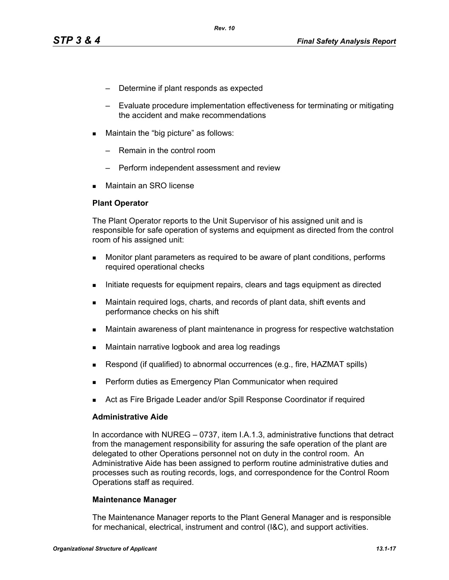- Determine if plant responds as expected
- Evaluate procedure implementation effectiveness for terminating or mitigating the accident and make recommendations
- **Maintain the "big picture" as follows:** 
	- Remain in the control room
	- Perform independent assessment and review
- Maintain an SRO license

### **Plant Operator**

The Plant Operator reports to the Unit Supervisor of his assigned unit and is responsible for safe operation of systems and equipment as directed from the control room of his assigned unit:

- **Monitor plant parameters as required to be aware of plant conditions, performs** required operational checks
- Initiate requests for equipment repairs, clears and tags equipment as directed
- Maintain required logs, charts, and records of plant data, shift events and performance checks on his shift
- Maintain awareness of plant maintenance in progress for respective watchstation
- **Maintain narrative logbook and area log readings**
- Respond (if qualified) to abnormal occurrences (e.g., fire, HAZMAT spills)
- Perform duties as Emergency Plan Communicator when required
- Act as Fire Brigade Leader and/or Spill Response Coordinator if required

#### **Administrative Aide**

In accordance with NUREG – 0737, item I.A.1.3, administrative functions that detract from the management responsibility for assuring the safe operation of the plant are delegated to other Operations personnel not on duty in the control room. An Administrative Aide has been assigned to perform routine administrative duties and processes such as routing records, logs, and correspondence for the Control Room Operations staff as required.

#### **Maintenance Manager**

The Maintenance Manager reports to the Plant General Manager and is responsible for mechanical, electrical, instrument and control (I&C), and support activities.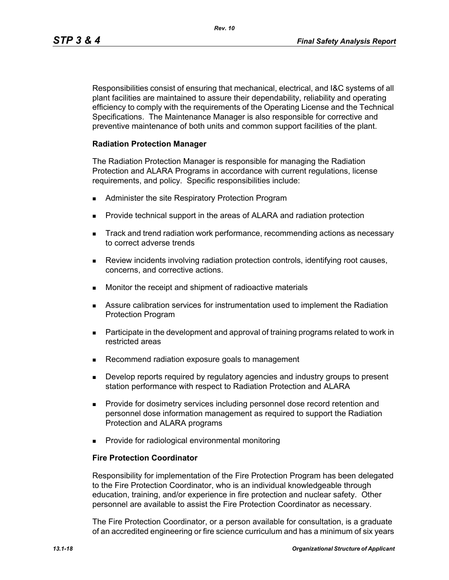Responsibilities consist of ensuring that mechanical, electrical, and I&C systems of all plant facilities are maintained to assure their dependability, reliability and operating efficiency to comply with the requirements of the Operating License and the Technical Specifications. The Maintenance Manager is also responsible for corrective and preventive maintenance of both units and common support facilities of the plant.

### **Radiation Protection Manager**

The Radiation Protection Manager is responsible for managing the Radiation Protection and ALARA Programs in accordance with current regulations, license requirements, and policy. Specific responsibilities include:

- **Administer the site Respiratory Protection Program**
- **Provide technical support in the areas of ALARA and radiation protection**
- **Track and trend radiation work performance, recommending actions as necessary** to correct adverse trends
- Review incidents involving radiation protection controls, identifying root causes, concerns, and corrective actions.
- **Monitor the receipt and shipment of radioactive materials**
- Assure calibration services for instrumentation used to implement the Radiation Protection Program
- **Participate in the development and approval of training programs related to work in** restricted areas
- Recommend radiation exposure goals to management
- **Develop reports required by regulatory agencies and industry groups to present** station performance with respect to Radiation Protection and ALARA
- **Provide for dosimetry services including personnel dose record retention and** personnel dose information management as required to support the Radiation Protection and ALARA programs
- **Provide for radiological environmental monitoring**

#### **Fire Protection Coordinator**

Responsibility for implementation of the Fire Protection Program has been delegated to the Fire Protection Coordinator, who is an individual knowledgeable through education, training, and/or experience in fire protection and nuclear safety. Other personnel are available to assist the Fire Protection Coordinator as necessary.

The Fire Protection Coordinator, or a person available for consultation, is a graduate of an accredited engineering or fire science curriculum and has a minimum of six years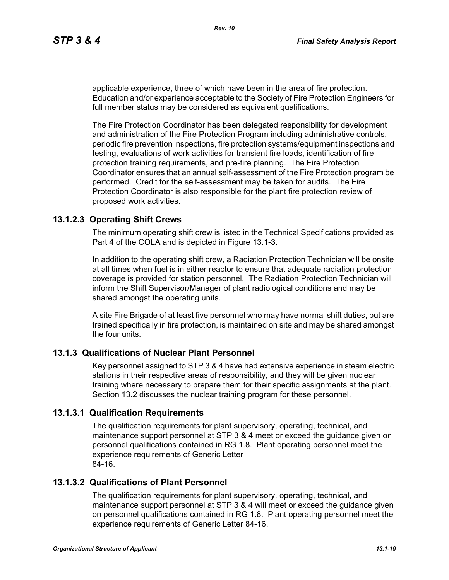applicable experience, three of which have been in the area of fire protection. Education and/or experience acceptable to the Society of Fire Protection Engineers for full member status may be considered as equivalent qualifications.

The Fire Protection Coordinator has been delegated responsibility for development and administration of the Fire Protection Program including administrative controls, periodic fire prevention inspections, fire protection systems/equipment inspections and testing, evaluations of work activities for transient fire loads, identification of fire protection training requirements, and pre-fire planning. The Fire Protection Coordinator ensures that an annual self-assessment of the Fire Protection program be performed. Credit for the self-assessment may be taken for audits. The Fire Protection Coordinator is also responsible for the plant fire protection review of proposed work activities.

# **13.1.2.3 Operating Shift Crews**

The minimum operating shift crew is listed in the Technical Specifications provided as Part 4 of the COLA and is depicted in Figure 13.1-3.

In addition to the operating shift crew, a Radiation Protection Technician will be onsite at all times when fuel is in either reactor to ensure that adequate radiation protection coverage is provided for station personnel. The Radiation Protection Technician will inform the Shift Supervisor/Manager of plant radiological conditions and may be shared amongst the operating units.

A site Fire Brigade of at least five personnel who may have normal shift duties, but are trained specifically in fire protection, is maintained on site and may be shared amongst the four units.

# **13.1.3 Qualifications of Nuclear Plant Personnel**

Key personnel assigned to STP 3 & 4 have had extensive experience in steam electric stations in their respective areas of responsibility, and they will be given nuclear training where necessary to prepare them for their specific assignments at the plant. Section 13.2 discusses the nuclear training program for these personnel.

# **13.1.3.1 Qualification Requirements**

The qualification requirements for plant supervisory, operating, technical, and maintenance support personnel at STP 3 & 4 meet or exceed the guidance given on personnel qualifications contained in RG 1.8. Plant operating personnel meet the experience requirements of Generic Letter 84-16.

# **13.1.3.2 Qualifications of Plant Personnel**

The qualification requirements for plant supervisory, operating, technical, and maintenance support personnel at STP 3 & 4 will meet or exceed the guidance given on personnel qualifications contained in RG 1.8. Plant operating personnel meet the experience requirements of Generic Letter 84-16.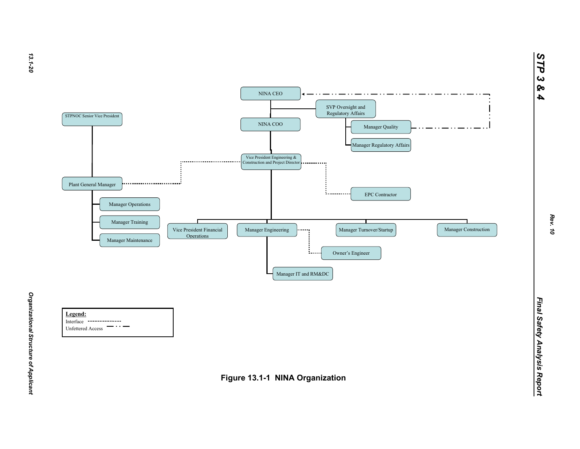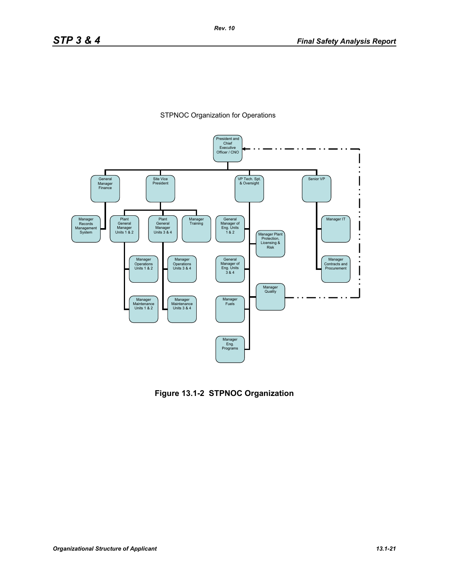



**Figure 13.1-2 STPNOC Organization**